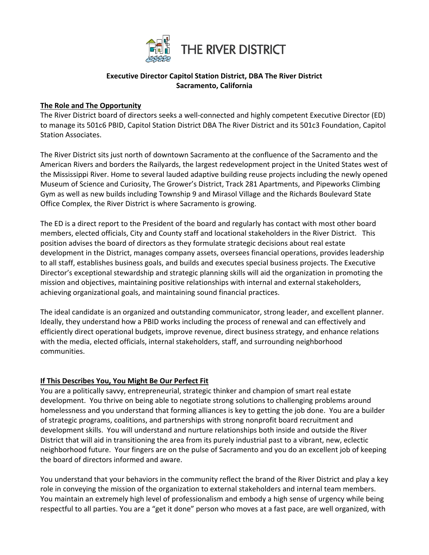

## **Executive Director Capitol Station District, DBA The River District Sacramento, California**

### **The Role and The Opportunity**

The River District board of directors seeks a well-connected and highly competent Executive Director (ED) to manage its 501c6 PBID, Capitol Station District DBA The River District and its 501c3 Foundation, Capitol Station Associates.

The River District sits just north of downtown Sacramento at the confluence of the Sacramento and the American Rivers and borders the Railyards, the largest redevelopment project in the United States west of the Mississippi River. Home to several lauded adaptive building reuse projects including the newly opened Museum of Science and Curiosity, The Grower's District, Track 281 Apartments, and Pipeworks Climbing Gym as well as new builds including Township 9 and Mirasol Village and the Richards Boulevard State Office Complex, the River District is where Sacramento is growing.

The ED is a direct report to the President of the board and regularly has contact with most other board members, elected officials, City and County staff and locational stakeholders in the River District. This position advises the board of directors as they formulate strategic decisions about real estate development in the District, manages company assets, oversees financial operations, provides leadership to all staff, establishes business goals, and builds and executes special business projects. The Executive Director's exceptional stewardship and strategic planning skills will aid the organization in promoting the mission and objectives, maintaining positive relationships with internal and external stakeholders, achieving organizational goals, and maintaining sound financial practices.

The ideal candidate is an organized and outstanding communicator, strong leader, and excellent planner. Ideally, they understand how a PBID works including the process of renewal and can effectively and efficiently direct operational budgets, improve revenue, direct business strategy, and enhance relations with the media, elected officials, internal stakeholders, staff, and surrounding neighborhood communities.

### **If This Describes You, You Might Be Our Perfect Fit**

You are a politically savvy, entrepreneurial, strategic thinker and champion of smart real estate development. You thrive on being able to negotiate strong solutions to challenging problems around homelessness and you understand that forming alliances is key to getting the job done. You are a builder of strategic programs, coalitions, and partnerships with strong nonprofit board recruitment and development skills. You will understand and nurture relationships both inside and outside the River District that will aid in transitioning the area from its purely industrial past to a vibrant, new, eclectic neighborhood future. Your fingers are on the pulse of Sacramento and you do an excellent job of keeping the board of directors informed and aware.

You understand that your behaviors in the community reflect the brand of the River District and play a key role in conveying the mission of the organization to external stakeholders and internal team members. You maintain an extremely high level of professionalism and embody a high sense of urgency while being respectful to all parties. You are a "get it done" person who moves at a fast pace, are well organized, with